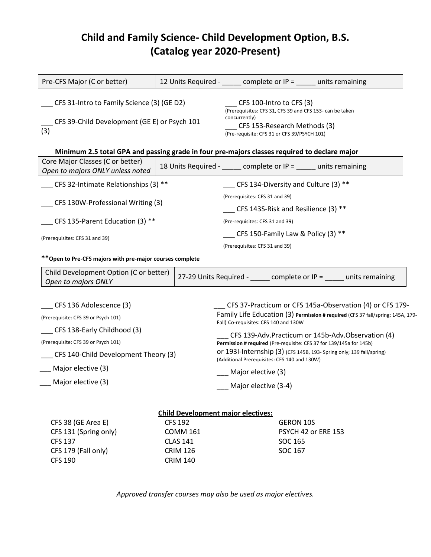## **Child and Family Science- Child Development Option, B.S. (Catalog year 2020-Present)**

| Pre-CFS Major (C or better)                                                                  |                                      | 12 Units Required - $\_\_\_\_$ complete or IP = $\_\_\_\_$ units remaining                                                                                                                  |  |                                                                                                                                             |
|----------------------------------------------------------------------------------------------|--------------------------------------|---------------------------------------------------------------------------------------------------------------------------------------------------------------------------------------------|--|---------------------------------------------------------------------------------------------------------------------------------------------|
| CFS 31-Intro to Family Science (3) (GE D2)                                                   |                                      | CFS 100-Intro to CFS (3)<br>(Prerequisites: CFS 31, CFS 39 and CFS 153- can be taken                                                                                                        |  |                                                                                                                                             |
| CFS 39-Child Development (GE E) or Psych 101<br>(3)                                          |                                      | concurrently)<br>CFS 153-Research Methods (3)<br>(Pre-requisite: CFS 31 or CFS 39/PSYCH 101)                                                                                                |  |                                                                                                                                             |
| Minimum 2.5 total GPA and passing grade in four pre-majors classes required to declare major |                                      |                                                                                                                                                                                             |  |                                                                                                                                             |
| Core Major Classes (C or better)<br>Open to majors ONLY unless noted                         |                                      | 18 Units Required - _____ complete or IP = ____ units remaining                                                                                                                             |  |                                                                                                                                             |
| CFS 32-Intimate Relationships (3) **                                                         | CFS 134-Diversity and Culture (3) ** |                                                                                                                                                                                             |  |                                                                                                                                             |
| CFS 130W-Professional Writing (3)                                                            |                                      | (Prerequisites: CFS 31 and 39)                                                                                                                                                              |  |                                                                                                                                             |
|                                                                                              |                                      | CFS 143S-Risk and Resilience $(3)$ **                                                                                                                                                       |  |                                                                                                                                             |
| CFS 135-Parent Education (3) **                                                              |                                      | (Pre-requisites: CFS 31 and 39)                                                                                                                                                             |  |                                                                                                                                             |
|                                                                                              |                                      |                                                                                                                                                                                             |  |                                                                                                                                             |
| (Prerequisites: CFS 31 and 39)                                                               |                                      | CFS 150-Family Law & Policy (3) $**$                                                                                                                                                        |  |                                                                                                                                             |
|                                                                                              |                                      | (Prerequisites: CFS 31 and 39)                                                                                                                                                              |  |                                                                                                                                             |
| ** Open to Pre-CFS majors with pre-major courses complete                                    |                                      |                                                                                                                                                                                             |  |                                                                                                                                             |
| Child Development Option (C or better)<br>Open to majors ONLY                                |                                      | 27-29 Units Required - _____ complete or IP = ____ units remaining                                                                                                                          |  |                                                                                                                                             |
|                                                                                              |                                      |                                                                                                                                                                                             |  |                                                                                                                                             |
| CFS 136 Adolescence (3)                                                                      |                                      |                                                                                                                                                                                             |  |                                                                                                                                             |
| (Prerequisite: CFS 39 or Psych 101)                                                          |                                      | Fall) Co-requisites: CFS 140 and 130W                                                                                                                                                       |  |                                                                                                                                             |
| CFS 138-Early Childhood (3)                                                                  |                                      |                                                                                                                                                                                             |  | CFS 139-Adv.Practicum or 145b-Adv.Observation (4)                                                                                           |
| (Prerequisite: CFS 39 or Psych 101)<br>CFS 140-Child Development Theory (3)                  |                                      | Permission # required (Pre-requisite: CFS 37 for 139/145a for 145b)<br>Or 1931-Internship (3) (CFS 145B, 193- Spring only; 139 fall/spring)<br>(Additional Prerequisites: CFS 140 and 130W) |  |                                                                                                                                             |
| Major elective (3)                                                                           |                                      | __ Major elective (3)                                                                                                                                                                       |  | CFS 37-Practicum or CFS 145a-Observation (4) or CFS 179-<br>Family Life Education (3) Permission # required (CFS 37 fall/spring; 145A, 179- |

| CFS 38 (GE Area E)    | CFS 192         | <b>GERON 10S</b>    |
|-----------------------|-----------------|---------------------|
| CFS 131 (Spring only) | COMM 161        | PSYCH 42 or ERE 153 |
| CFS 137               | CLAS 141        | SOC 165             |
| CFS 179 (Fall only)   | <b>CRIM 126</b> | SOC 167             |
| CFS 190               | <b>CRIM 140</b> |                     |
|                       |                 |                     |

*Approved transfer courses may also be used as major electives.*